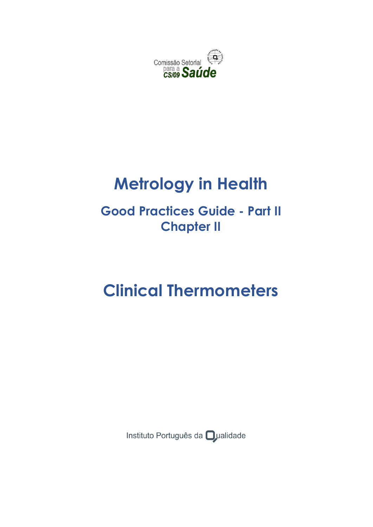

# **Metrology in Health**

## **Good Practices Guide - Part II Chapter II**

# **Clinical Thermometers**

Instituto Português da **O**ualidade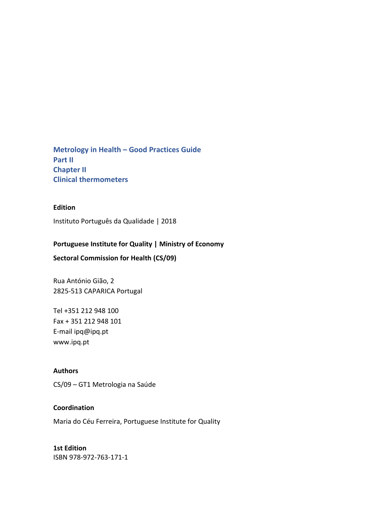**Metrology in Health – Good Practices Guide Part II Chapter II Clinical thermometers**

### **Edition**

Instituto Português da Qualidade | 2018

### **Portuguese Institute for Quality | Ministry of Economy**

**Sectoral Commission for Health (CS/09)**

Rua António Gião, 2 2825-513 CAPARICA Portugal

Tel +351 212 948 100 Fax + 351 212 948 101 E-mail ipq@ipq.pt www.ipq.pt

#### **Authors**

CS/09 – GT1 Metrologia na Saúde

### **Coordination**

Maria do Céu Ferreira, Portuguese Institute for Quality

**1st Edition** ISBN 978-972-763-171-1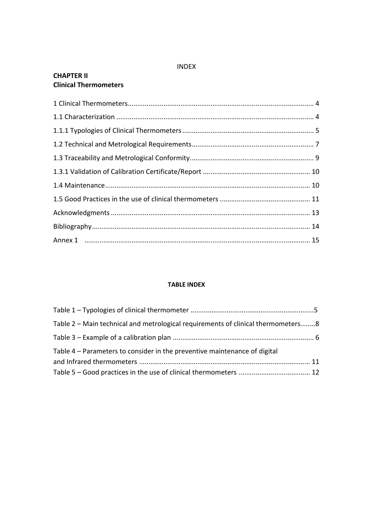### INDEX

### **CHAPTER II Clinical Thermometers**

### **TABLE INDEX**

| Table 2 – Main technical and metrological requirements of clinical thermometers8 |  |
|----------------------------------------------------------------------------------|--|
|                                                                                  |  |
| Table 4 – Parameters to consider in the preventive maintenance of digital        |  |
|                                                                                  |  |
|                                                                                  |  |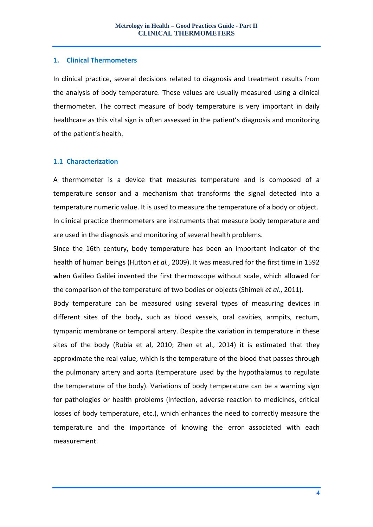### <span id="page-3-0"></span>**1. Clinical Thermometers**

In clinical practice, several decisions related to diagnosis and treatment results from the analysis of body temperature. These values are usually measured using a clinical thermometer. The correct measure of body temperature is very important in daily healthcare as this vital sign is often assessed in the patient's diagnosis and monitoring of the patient's health.

### <span id="page-3-1"></span>**1.1 Characterization**

A thermometer is a device that measures temperature and is composed of a temperature sensor and a mechanism that transforms the signal detected into a temperature numeric value. It is used to measure the temperature of a body or object. In clinical practice thermometers are instruments that measure body temperature and are used in the diagnosis and monitoring of several health problems.

Since the 16th century, body temperature has been an important indicator of the health of human beings (Hutton *et al.*, 2009). It was measured for the first time in 1592 when Galileo Galilei invented the first thermoscope without scale, which allowed for the comparison of the temperature of two bodies or objects (Shimek *et al.*, 2011).

Body temperature can be measured using several types of measuring devices in different sites of the body, such as blood vessels, oral cavities, armpits, rectum, tympanic membrane or temporal artery. Despite the variation in temperature in these sites of the body (Rubia et al, 2010; Zhen et al., 2014) it is estimated that they approximate the real value, which is the temperature of the blood that passes through the pulmonary artery and aorta (temperature used by the hypothalamus to regulate the temperature of the body). Variations of body temperature can be a warning sign for pathologies or health problems (infection, adverse reaction to medicines, critical losses of body temperature, etc.), which enhances the need to correctly measure the temperature and the importance of knowing the error associated with each measurement.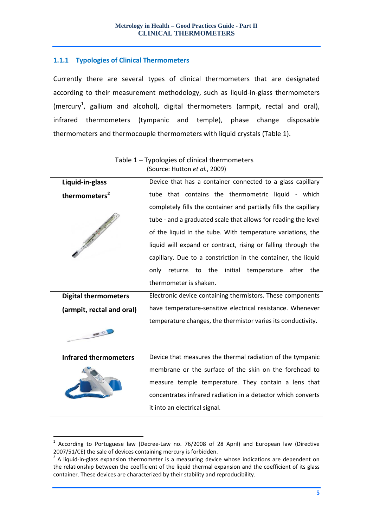### <span id="page-4-0"></span>**1.1.1 Typologies of Clinical Thermometers**

Currently there are several types of clinical thermometers that are designated according to their measurement methodology, such as liquid-in-glass thermometers (mercury<sup>1</sup>, gallium and alcohol), digital thermometers (armpit, rectal and oral), infrared thermometers (tympanic and temple), phase change disposable thermometers and thermocouple thermometers with liquid crystals (Table 1).

|                              | (Source: Hutton et al., 2009)                                    |  |  |
|------------------------------|------------------------------------------------------------------|--|--|
| Liquid-in-glass              | Device that has a container connected to a glass capillary       |  |  |
| thermometers <sup>2</sup>    | tube that contains the thermometric liquid - which               |  |  |
|                              | completely fills the container and partially fills the capillary |  |  |
|                              | tube - and a graduated scale that allows for reading the level   |  |  |
|                              | of the liquid in the tube. With temperature variations, the      |  |  |
|                              | liquid will expand or contract, rising or falling through the    |  |  |
|                              | capillary. Due to a constriction in the container, the liquid    |  |  |
|                              | only returns to the initial temperature after<br>the             |  |  |
|                              | thermometer is shaken.                                           |  |  |
| <b>Digital thermometers</b>  | Electronic device containing thermistors. These components       |  |  |
| (armpit, rectal and oral)    | have temperature-sensitive electrical resistance. Whenever       |  |  |
|                              | temperature changes, the thermistor varies its conductivity.     |  |  |
| <b>ETHE COL</b>              |                                                                  |  |  |
| <b>Infrared thermometers</b> | Device that measures the thermal radiation of the tympanic       |  |  |
|                              | membrane or the surface of the skin on the forehead to           |  |  |

## Table 1 – Typologies of clinical thermometers

measure temple temperature. They contain a lens that concentrates infrared radiation in a detector which converts it into an electrical signal.

<u>.</u>

<sup>1</sup> According to Portuguese law (Decree-Law no. 76/2008 of 28 April) and European law (Directive 2007/51/CE) the sale of devices containing mercury is forbidden.

 $2$  A liquid-in-glass expansion thermometer is a measuring device whose indications are dependent on the relationship between the coefficient of the liquid thermal expansion and the coefficient of its glass container. These devices are characterized by their stability and reproducibility.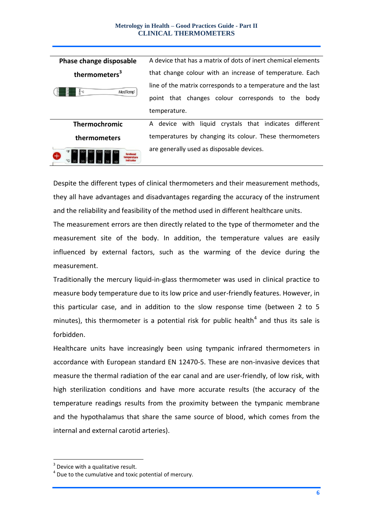#### **Metrology in Health – Good Practices Guide - Part II CLINICAL THERMOMETERS**

| Phase change disposable                                                 | A device that has a matrix of dots of inert chemical elements |  |  |
|-------------------------------------------------------------------------|---------------------------------------------------------------|--|--|
| thermometers <sup>3</sup>                                               | that change colour with an increase of temperature. Each      |  |  |
| $\mathcal{C}^{\bullet\bullet\bullet}_{\bullet}$<br>MedTemp <sup>*</sup> | line of the matrix corresponds to a temperature and the last  |  |  |
|                                                                         | that changes colour corresponds to the<br>body<br>point       |  |  |
|                                                                         | temperature.                                                  |  |  |
| <b>Thermochromic</b>                                                    | A device with liquid crystals that indicates different        |  |  |
| thermometers                                                            | temperatures by changing its colour. These thermometers       |  |  |
| ndicato                                                                 | are generally used as disposable devices.                     |  |  |

Despite the different types of clinical thermometers and their measurement methods, they all have advantages and disadvantages regarding the accuracy of the instrument and the reliability and feasibility of the method used in different healthcare units.

The measurement errors are then directly related to the type of thermometer and the measurement site of the body. In addition, the temperature values are easily influenced by external factors, such as the warming of the device during the measurement.

Traditionally the mercury liquid-in-glass thermometer was used in clinical practice to measure body temperature due to its low price and user-friendly features. However, in this particular case, and in addition to the slow response time (between 2 to 5 minutes), this thermometer is a potential risk for public health<sup>4</sup> and thus its sale is forbidden.

Healthcare units have increasingly been using tympanic infrared thermometers in accordance with European standard EN 12470-5. These are non-invasive devices that measure the thermal radiation of the ear canal and are user-friendly, of low risk, with high sterilization conditions and have more accurate results (the accuracy of the temperature readings results from the proximity between the tympanic membrane and the hypothalamus that share the same source of blood, which comes from the internal and external carotid arteries).

<u>.</u>

 $3$  Device with a qualitative result.

 $4$  Due to the cumulative and toxic potential of mercury.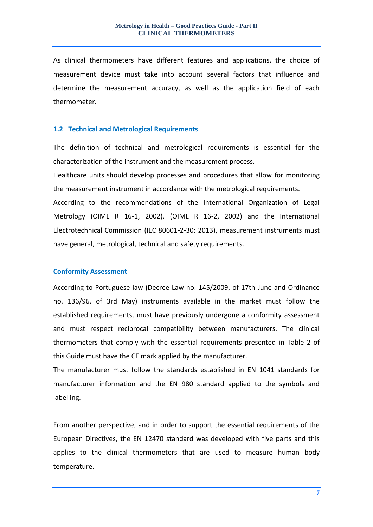As clinical thermometers have different features and applications, the choice of measurement device must take into account several factors that influence and determine the measurement accuracy, as well as the application field of each thermometer.

### <span id="page-6-0"></span>**1.2 Technical and Metrological Requirements**

The definition of technical and metrological requirements is essential for the characterization of the instrument and the measurement process.

Healthcare units should develop processes and procedures that allow for monitoring the measurement instrument in accordance with the metrological requirements.

According to the recommendations of the International Organization of Legal Metrology (OIML R 16-1, 2002), (OIML R 16-2, 2002) and the International Electrotechnical Commission (IEC 80601-2-30: 2013), measurement instruments must have general, metrological, technical and safety requirements.

### **Conformity Assessment**

According to Portuguese law (Decree-Law no. 145/2009, of 17th June and Ordinance no. 136/96, of 3rd May) instruments available in the market must follow the established requirements, must have previously undergone a conformity assessment and must respect reciprocal compatibility between manufacturers. The clinical thermometers that comply with the essential requirements presented in Table 2 of this Guide must have the CE mark applied by the manufacturer.

The manufacturer must follow the standards established in EN 1041 standards for manufacturer information and the EN 980 standard applied to the symbols and labelling.

From another perspective, and in order to support the essential requirements of the European Directives, the EN 12470 standard was developed with five parts and this applies to the clinical thermometers that are used to measure human body temperature.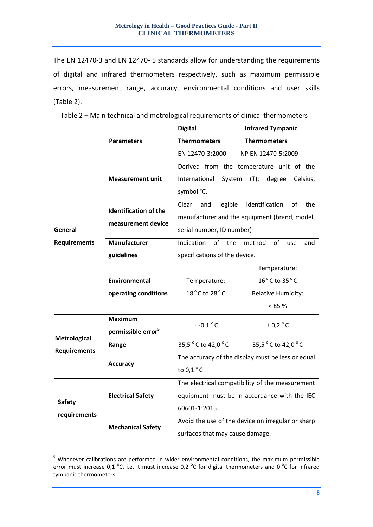The EN 12470-3 and EN 12470- 5 standards allow for understanding the requirements of digital and infrared thermometers respectively, such as maximum permissible errors, measurement range, accuracy, environmental conditions and user skills (Table 2).

|                               |                                | <b>Digital</b>                                    | <b>Infrared Tympanic</b>                        |  |
|-------------------------------|--------------------------------|---------------------------------------------------|-------------------------------------------------|--|
|                               | <b>Parameters</b>              | <b>Thermometers</b>                               | <b>Thermometers</b>                             |  |
|                               |                                | EN 12470-3:2000                                   | NP EN 12470-5:2009                              |  |
|                               |                                |                                                   | Derived from the temperature unit of the        |  |
|                               | <b>Measurement unit</b>        | International<br>System                           | $(T)$ :<br>degree<br>Celsius,                   |  |
|                               |                                | symbol °C.                                        |                                                 |  |
|                               | <b>Identification of the</b>   | legible<br>Clear<br>and                           | identification<br>οf<br>the                     |  |
|                               | measurement device             |                                                   | manufacturer and the equipment (brand, model,   |  |
| General                       |                                | serial number, ID number)                         |                                                 |  |
| <b>Requirements</b>           | <b>Manufacturer</b>            | Indication<br>of<br>the                           | method<br>of<br>use<br>and                      |  |
|                               | guidelines                     | specifications of the device.                     |                                                 |  |
|                               |                                | Temperature:                                      |                                                 |  |
|                               | Environmental                  | Temperature:                                      | $16^{\circ}$ C to 35 $^{\circ}$ C               |  |
|                               | operating conditions           | 18°C to 28°C                                      | Relative Humidity:                              |  |
|                               |                                |                                                   | $< 85 \%$                                       |  |
|                               | <b>Maximum</b>                 | $± -0.1$ °C                                       | ± 0.2 °C                                        |  |
| <b>Metrological</b>           | permissible error <sup>5</sup> |                                                   |                                                 |  |
| <b>Requirements</b>           | Range                          | 35,5 °C to 42,0 °C<br>35,5 °C to 42,0 °C          |                                                 |  |
|                               | <b>Accuracy</b>                | The accuracy of the display must be less or equal |                                                 |  |
|                               |                                | to $0,1^{\circ}$ C                                |                                                 |  |
| <b>Safety</b><br>requirements |                                |                                                   | The electrical compatibility of the measurement |  |
|                               | <b>Electrical Safety</b>       | equipment must be in accordance with the IEC      |                                                 |  |
|                               | 60601-1:2015.                  |                                                   |                                                 |  |
|                               | <b>Mechanical Safety</b>       | Avoid the use of the device on irregular or sharp |                                                 |  |
|                               |                                | surfaces that may cause damage.                   |                                                 |  |

Table 2 – Main technical and metrological requirements of clinical thermometers

1

<sup>&</sup>lt;sup>5</sup> Whenever calibrations are performed in wider environmental conditions, the maximum permissible error must increase 0,1  $^{\circ}$ C, i.e. it must increase 0,2  $^{\circ}$ C for digital thermometers and 0  $^{\circ}$ C for infrared tympanic thermometers.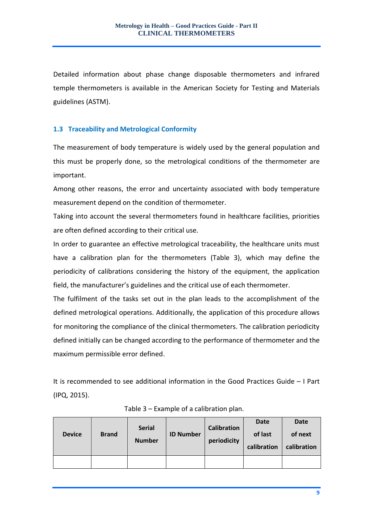Detailed information about phase change disposable thermometers and infrared temple thermometers is available in the American Society for Testing and Materials guidelines (ASTM).

### <span id="page-8-0"></span>**1.3 Traceability and Metrological Conformity**

The measurement of body temperature is widely used by the general population and this must be properly done, so the metrological conditions of the thermometer are important.

Among other reasons, the error and uncertainty associated with body temperature measurement depend on the condition of thermometer.

Taking into account the several thermometers found in healthcare facilities, priorities are often defined according to their critical use.

In order to guarantee an effective metrological traceability, the healthcare units must have a calibration plan for the thermometers (Table 3), which may define the periodicity of calibrations considering the history of the equipment, the application field, the manufacturer's guidelines and the critical use of each thermometer.

The fulfilment of the tasks set out in the plan leads to the accomplishment of the defined metrological operations. Additionally, the application of this procedure allows for monitoring the compliance of the clinical thermometers. The calibration periodicity defined initially can be changed according to the performance of thermometer and the maximum permissible error defined.

It is recommended to see additional information in the Good Practices Guide – I Part (IPQ, 2015).

| <b>Device</b> | <b>Brand</b> | <b>Serial</b><br><b>Number</b> | <b>ID Number</b> | <b>Calibration</b><br>periodicity | Date<br>of last<br>calibration | Date<br>of next<br>calibration |
|---------------|--------------|--------------------------------|------------------|-----------------------------------|--------------------------------|--------------------------------|
|               |              |                                |                  |                                   |                                |                                |

Table 3 – Example of a calibration plan.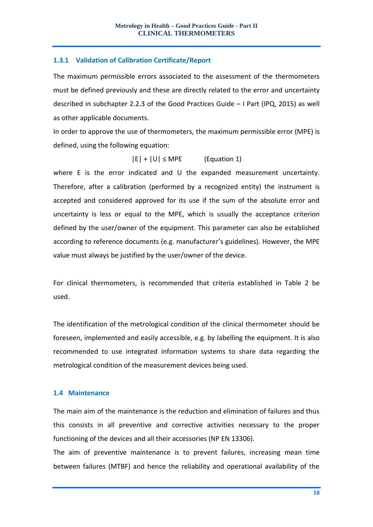### <span id="page-9-0"></span>**1.3.1 Validation of Calibration Certificate/Report**

The maximum permissible errors associated to the assessment of the thermometers must be defined previously and these are directly related to the error and uncertainty described in subchapter 2.2.3 of the Good Practices Guide – I Part (IPQ, 2015) as well as other applicable documents.

In order to approve the use of thermometers, the maximum permissible error (MPE) is defined, using the following equation:

 $|E| + |U| \leq MPE$  (Equation 1)

where E is the error indicated and U the expanded measurement uncertainty. Therefore, after a calibration (performed by a recognized entity) the instrument is accepted and considered approved for its use if the sum of the absolute error and uncertainty is less or equal to the MPE, which is usually the acceptance criterion defined by the user/owner of the equipment. This parameter can also be established according to reference documents (e.g. manufacturer's guidelines). However, the MPE value must always be justified by the user/owner of the device.

For clinical thermometers, is recommended that criteria established in Table 2 be used.

The identification of the metrological condition of the clinical thermometer should be foreseen, implemented and easily accessible, e.g. by labelling the equipment. It is also recommended to use integrated information systems to share data regarding the metrological condition of the measurement devices being used.

### <span id="page-9-1"></span>**1.4 Maintenance**

The main aim of the maintenance is the reduction and elimination of failures and thus this consists in all preventive and corrective activities necessary to the proper functioning of the devices and all their accessories (NP EN 13306).

The aim of preventive maintenance is to prevent failures, increasing mean time between failures (MTBF) and hence the reliability and operational availability of the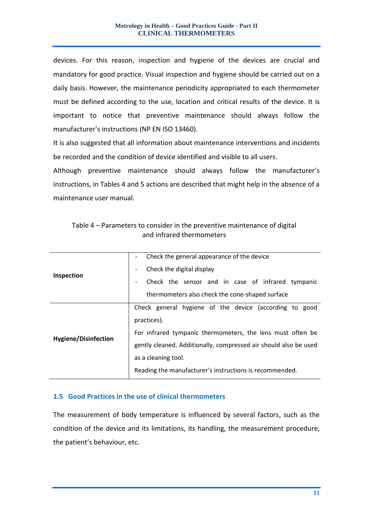devices. For this reason, inspection and hygiene of the devices are crucial and mandatory for good practice. Visual inspection and hygiene should be carried out on a daily basis. However, the maintenance periodicity appropriated to each thermometer must be defined according to the use, location and critical results of the device. It is important to notice that preventive maintenance should always follow the manufacturer's instructions (NP EN ISO 13460).

It is also suggested that all information about maintenance interventions and incidents be recorded and the condition of device identified and visible to all users.

Although preventive maintenance should always follow the manufacturer's instructions, in Tables 4 and 5 actions are described that might help in the absence of a maintenance user manual.

|                             | Check the general appearance of the device                       |  |  |  |
|-----------------------------|------------------------------------------------------------------|--|--|--|
|                             | Check the digital display<br>$\overline{\phantom{a}}$            |  |  |  |
| <b>Inspection</b>           | Check the sensor and in case of infrared tympanic                |  |  |  |
|                             | thermometers also check the cone-shaped surface                  |  |  |  |
|                             | Check general hygiene of the device (according to good           |  |  |  |
| <b>Hygiene/Disinfection</b> | practices).                                                      |  |  |  |
|                             | For infrared tympanic thermometers, the lens must often be       |  |  |  |
|                             | gently cleaned. Additionally, compressed air should also be used |  |  |  |
|                             | as a cleaning tool.                                              |  |  |  |
|                             | Reading the manufacturer's instructions is recommended.          |  |  |  |

Table 4 – Parameters to consider in the preventive maintenance of digital and infrared thermometers

### <span id="page-10-0"></span>**1.5 Good Practices in the use of clinical thermometers**

The measurement of body temperature is influenced by several factors, such as the condition of the device and its limitations, its handling, the measurement procedure, the patient's behaviour, etc.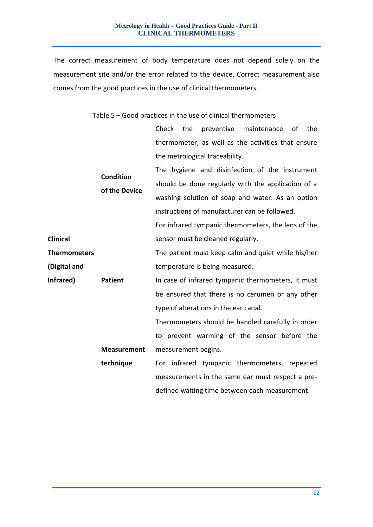The correct measurement of body temperature does not depend solely on the measurement site and/or the error related to the device. Correct measurement also comes from the good practices in the use of clinical thermometers.

<span id="page-11-0"></span>

|                     |                    | Check<br>preventive<br>the<br>of<br>the<br>maintenance                                             |  |  |  |
|---------------------|--------------------|----------------------------------------------------------------------------------------------------|--|--|--|
|                     |                    | thermometer, as well as the activities that ensure                                                 |  |  |  |
|                     |                    | the metrological traceability.                                                                     |  |  |  |
|                     | <b>Condition</b>   | The hygiene and disinfection of the instrument                                                     |  |  |  |
|                     |                    | should be done regularly with the application of a                                                 |  |  |  |
|                     | of the Device      | washing solution of soap and water. As an option                                                   |  |  |  |
|                     |                    | instructions of manufacturer can be followed.                                                      |  |  |  |
|                     |                    | For infrared tympanic thermometers, the lens of the                                                |  |  |  |
| <b>Clinical</b>     |                    | sensor must be cleaned regularly.                                                                  |  |  |  |
| <b>Thermometers</b> |                    | The patient must keep calm and quiet while his/her                                                 |  |  |  |
| (Digital and        |                    | temperature is being measured.                                                                     |  |  |  |
| Infrared)           | <b>Patient</b>     | In case of infrared tympanic thermometers, it must                                                 |  |  |  |
|                     |                    | be ensured that there is no cerumen or any other                                                   |  |  |  |
|                     |                    | type of alterations in the ear canal.                                                              |  |  |  |
|                     |                    | Thermometers should be handled carefully in order                                                  |  |  |  |
|                     |                    | to prevent warming of the sensor before the<br>measurement begins.                                 |  |  |  |
|                     | <b>Measurement</b> |                                                                                                    |  |  |  |
|                     | technique          | For infrared tympanic thermometers, repeated                                                       |  |  |  |
|                     |                    | measurements in the same ear must respect a pre-<br>defined waiting time between each measurement. |  |  |  |
|                     |                    |                                                                                                    |  |  |  |
|                     |                    |                                                                                                    |  |  |  |

|  | Table 5 – Good practices in the use of clinical thermometers |  |  |  |  |
|--|--------------------------------------------------------------|--|--|--|--|
|--|--------------------------------------------------------------|--|--|--|--|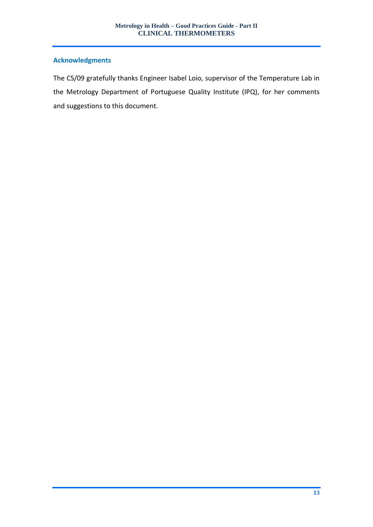### **Acknowledgments**

The CS/09 gratefully thanks Engineer Isabel Loio, supervisor of the Temperature Lab in the Metrology Department of Portuguese Quality Institute (IPQ), for her comments and suggestions to this document.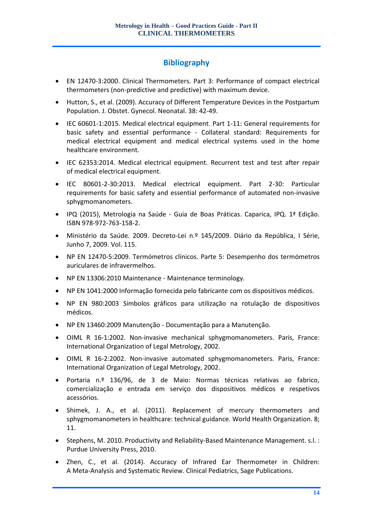### **Bibliography**

- <span id="page-13-0"></span> EN 12470-3:2000. Clinical Thermometers. Part 3: Performance of compact electrical thermometers (non-predictive and predictive) with maximum device.
- Hutton, S., et al. (2009). Accuracy of Different Temperature Devices in the Postpartum Population. J. Obstet. Gynecol. Neonatal. 38: 42-49.
- IEC 60601-1:2015. Medical electrical equipment. Part 1-11: General requirements for basic safety and essential performance - Collateral standard: Requirements for medical electrical equipment and medical electrical systems used in the home healthcare environment.
- IEC 62353:2014. Medical electrical equipment. Recurrent test and test after repair of medical electrical equipment.
- IEC 80601-2-30:2013. Medical electrical equipment. Part 2-30: Particular requirements for basic safety and essential performance of automated non-invasive sphygmomanometers.
- IPQ (2015), Metrologia na Saúde Guia de Boas Práticas. Caparica, IPQ. 1ª Edição. ISBN 978-972-763-158-2.
- Ministério da Saúde. 2009. Decreto-Lei n.º 145/2009. Diário da República, I Série, Junho 7, 2009. Vol. 115.
- NP EN 12470-5:2009. Termómetros clínicos. Parte 5: Desempenho dos termómetros auriculares de infravermelhos.
- NP EN 13306:2010 Maintenance Maintenance terminology.
- NP EN 1041:2000 Informação fornecida pelo fabricante com os dispositivos médicos.
- NP EN 980:2003 Símbolos gráficos para utilização na rotulação de dispositivos médicos.
- NP EN 13460:2009 Manutenção Documentação para a Manutenção.
- OIML R 16-1:2002. Non-invasive mechanical sphygmomanometers. Paris, France: International Organization of Legal Metrology, 2002.
- OIML R 16-2:2002. Non-invasive automated sphygmomanometers. Paris, France: International Organization of Legal Metrology, 2002.
- Portaria n.º 136/96, de 3 de Maio: Normas técnicas relativas ao fabrico, comercialização e entrada em serviço dos dispositivos médicos e respetivos acessórios.
- Shimek, J. A., et al. (2011). Replacement of mercury thermometers and sphygmomanometers in healthcare: technical guidance. World Health Organization. 8; 11.
- Stephens, M. 2010. Productivity and Reliability-Based Maintenance Management. s.l. : Purdue University Press, 2010.
- Zhen, C., et al. (2014). Accuracy of Infrared Ear Thermometer in Children: A Meta-Analysis and Systematic Review. Clinical Pediatrics, Sage Publications.